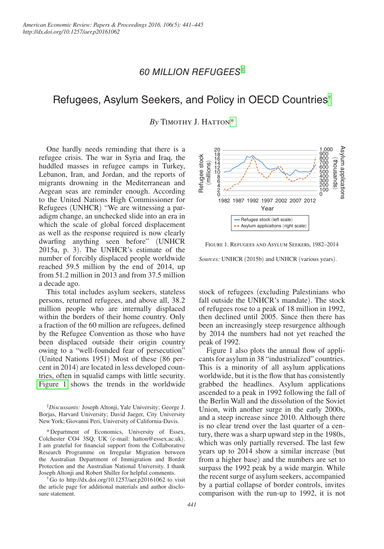# *60 Million Refugees*  ‡

# Refugees, Asylum Seekers, and Policy in OECD Countries<sup>[†](#page-0-0)</sup>

By TIMOTHY J. HATTON\*

One hardly needs reminding that there is a refugee crisis. The war in Syria and Iraq, the huddled masses in refugee camps in Turkey, Lebanon, Iran, and Jordan, and the reports of migrants drowning in the Mediterranean and Aegean seas are reminder enough. According to the United Nations High Commissioner for Refugees (UNHCR) "We are witnessing a paradigm change, an unchecked slide into an era in which the scale of global forced displacement as well as the response required is now clearly dwarfing anything seen before" (UNHCR 2015a, p. 3). The UNHCR's estimate of the number of forcibly displaced people worldwide reached 59.5 million by the end of 2014, up from 51.2 million in 2013 and from 37.5 million a decade ago.

This total includes asylum seekers, stateless persons, returned refugees, and above all, 38.2 million people who are internally displaced within the borders of their home country. Only a fraction of the 60 million are refugees, defined by the Refugee Convention as those who have been displaced outside their origin country owing to a "well-founded fear of persecution" (United Nations 1951) Most of these (86 percent in 2014) are located in less developed countries, often in squalid camps with little security. Figure 1 shows the trends in the worldwide

‡ *Discussants:* Joseph Altonji, Yale University; George J. Borjas, Harvard University; David Jaeger, City University New York; Giovanni Peri, University of California-Davis.

<span id="page-0-1"></span>\*Department of Economics, University of Essex, Colchester CO4 3SQ, UK (e-mail: hatton@essex.ac.uk). I am grateful for financial support from the Collaborative Research Programme on Irregular Migration between the Australian Department of Immigration and Border Protection and the Australian National University. I thank Joseph Altonji and Robert Shiller for helpful comments.

<span id="page-0-0"></span>†Go to http://dx.doi.org/10.1257/aer.p20161062 to visit the article page for additional materials and author disclosure statement.



Figure 1. Refugees and Asylum Seekers, 1982–2014

*Sources:* UNHCR (2015b) and UNHCR (various years).

stock of refugees (excluding Palestinians who fall outside the UNHCR's mandate). The stock of refugees rose to a peak of 18 million in 1992, then declined until 2005. Since then there has been an increasingly steep resurgence although by 2014 the numbers had not yet reached the peak of 1992.

Figure 1 also plots the annual flow of applicants for asylum in 38 "industrialized" countries. This is a minority of all asylum applications worldwide, but it is the flow that has consistently grabbed the headlines. Asylum applications ascended to a peak in 1992 following the fall of the Berlin Wall and the dissolution of the Soviet Union, with another surge in the early 2000s, and a steep increase since 2010. Although there is no clear trend over the last quarter of a century, there was a sharp upward step in the 1980s, which was only partially reversed. The last few years up to 2014 show a similar increase (but from a higher base) and the numbers are set to surpass the 1992 peak by a wide margin. While the recent surge of asylum seekers, accompanied by a partial collapse of border controls, invites comparison with the run-up to 1992, it is not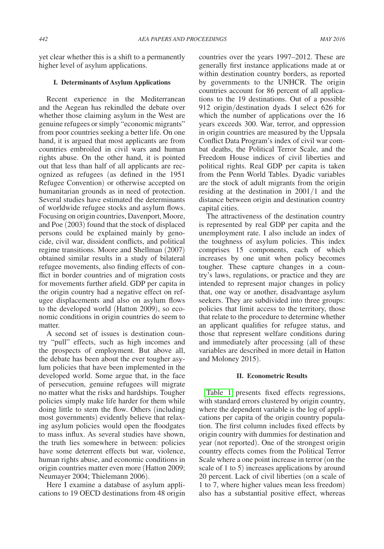yet clear whether this is a shift to a permanently higher level of asylum applications.

### **I. Determinants of Asylum Applications**

Recent experience in the Mediterranean and the Aegean has rekindled the debate over whether those claiming asylum in the West are genuine refugees or simply "economic migrants" from poor countries seeking a better life. On one hand, it is argued that most applicants are from countries embroiled in civil wars and human rights abuse. On the other hand, it is pointed out that less than half of all applicants are recognized as refugees (as defined in the 1951 Refugee Convention) or otherwise accepted on humanitarian grounds as in need of protection. Several studies have estimated the determinants of worldwide refugee stocks and asylum flows. Focusing on origin countries, Davenport, Moore, and Poe (2003) found that the stock of displaced persons could be explained mainly by genocide, civil war, dissident conflicts, and political regime transitions. Moore and Shellman (2007) obtained similar results in a study of bilateral refugee movements, also finding effects of conflict in border countries and of migration costs for movements further afield. GDP per capita in the origin country had a negative effect on refugee displacements and also on asylum flows to the developed world (Hatton 2009), so economic conditions in origin countries do seem to matter.

A second set of issues is destination country "pull" effects, such as high incomes and the prospects of employment. But above all, the debate has been about the ever tougher asylum policies that have been implemented in the developed world. Some argue that, in the face of persecution, genuine refugees will migrate no matter what the risks and hardships. Tougher policies simply make life harder for them while doing little to stem the flow. Others (including most governments) evidently believe that relaxing asylum policies would open the floodgates to mass influx. As several studies have shown, the truth lies somewhere in between: policies have some deterrent effects but war, violence, human rights abuse, and economic conditions in origin countries matter even more (Hatton 2009; Neumayer 2004; Thielemann 2006).

Here I examine a database of asylum applications to 19 OECD destinations from 48 origin countries over the years 1997–2012. These are generally first instance applications made at or within destination country borders, as reported by governments to the UNHCR. The origin countries account for 86 percent of all applications to the 19 destinations. Out of a possible 912 origin/destination dyads I select 626 for which the number of applications over the 16 years exceeds 300. War, terror, and oppression in origin countries are measured by the Uppsala Conflict Data Program's index of civil war combat deaths, the Political Terror Scale, and the Freedom House indices of civil liberties and political rights. Real GDP per capita is taken from the Penn World Tables. Dyadic variables are the stock of adult migrants from the origin residing at the destination in 2001/1 and the distance between origin and destination country capital cities.

The attractiveness of the destination country is represented by real GDP per capita and the unemployment rate. I also include an index of the toughness of asylum policies. This index comprises 15 components, each of which increases by one unit when policy becomes tougher. These capture changes in a country's laws, regulations, or practice and they are intended to represent major changes in policy that, one way or another, disadvantage asylum seekers. They are subdivided into three groups: policies that limit access to the territory, those that relate to the procedure to determine whether an applicant qualifies for refugee status, and those that represent welfare conditions during and immediately after processing (all of these variables are described in more detail in Hatton and Moloney 2015).

#### **II. Econometric Results**

[Table 1](#page-2-0) presents fixed effects regressions, with standard errors clustered by origin country, where the dependent variable is the log of applications per capita of the origin country population. The first column includes fixed effects by origin country with dummies for destination and year (not reported). One of the strongest origin country effects comes from the Political Terror Scale where a one point increase in terror (on the scale of 1 to 5) increases applications by around 20 percent. Lack of civil liberties (on a scale of 1 to 7, where higher values mean less freedom) also has a substantial positive effect, whereas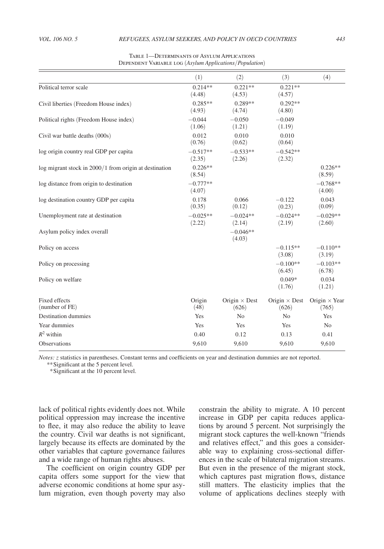<span id="page-2-0"></span>

|                                                            | (1)                  | (2)                           | (3)                           | (4)                           |
|------------------------------------------------------------|----------------------|-------------------------------|-------------------------------|-------------------------------|
| Political terror scale                                     | $0.214**$<br>(4.48)  | $0.221**$<br>(4.53)           | $0.221**$<br>(4.57)           |                               |
| Civil liberties (Freedom House index)                      | $0.285**$<br>(4.93)  | $0.289**$<br>(4.74)           | $0.292**$<br>(4.80)           |                               |
| Political rights (Freedom House index)                     | $-0.044$<br>(1.06)   | $-0.050$<br>(1.21)            | $-0.049$<br>(1.19)            |                               |
| Civil war battle deaths (000s)                             | 0.012<br>(0.76)      | 0.010<br>(0.62)               | 0.010<br>(0.64)               |                               |
| log origin country real GDP per capita                     | $-0.517**$<br>(2.35) | $-0.533**$<br>(2.26)          | $-0.542**$<br>(2.32)          |                               |
| $log$ migrant stock in $2000/1$ from origin at destination | $0.226**$<br>(8.54)  |                               |                               | $0.226**$<br>(8.59)           |
| log distance from origin to destination                    | $-0.777**$<br>(4.07) |                               |                               | $-0.768**$<br>(4.00)          |
| log destination country GDP per capita                     | 0.178<br>(0.35)      | 0.066<br>(0.12)               | $-0.122$<br>(0.23)            | 0.043<br>(0.09)               |
| Unemployment rate at destination                           | $-0.025**$<br>(2.22) | $-0.024**$<br>(2.14)          | $-0.024**$<br>(2.19)          | $-0.029**$<br>(2.60)          |
| Asylum policy index overall                                |                      | $-0.046**$<br>(4.03)          |                               |                               |
| Policy on access                                           |                      |                               | $-0.115**$<br>(3.08)          | $-0.110**$<br>(3.19)          |
| Policy on processing                                       |                      |                               | $-0.100**$<br>(6.45)          | $-0.103**$<br>(6.78)          |
| Policy on welfare                                          |                      |                               | $0.049*$<br>(1.76)            | 0.034<br>(1.21)               |
| <b>Fixed effects</b><br>(number of FE)                     | Origin<br>(48)       | Origin $\times$ Dest<br>(626) | Origin $\times$ Dest<br>(626) | Origin $\times$ Year<br>(765) |
| <b>Destination dummies</b>                                 | Yes                  | No                            | N <sub>0</sub>                | Yes                           |
| Year dummies                                               | Yes                  | Yes                           | Yes                           | N <sub>o</sub>                |
| $R^2$ within                                               | 0.40                 | 0.12                          | 0.13                          | 0.41                          |
| Observations                                               | 9,610                | 9,610                         | 9,610                         | 9,610                         |

Table 1—Determinants of Asylum Applications Dependent Variable log (*Asylum Applications*/*Population*)

*Notes: z* statistics in parentheses. Constant terms and coefficients on year and destination dummies are not reported.

*\*\**Significant at the 5 percent level. *\**Significant at the 10 percent level.

lack of political rights evidently does not. While political oppression may increase the incentive to flee, it may also reduce the ability to leave the country. Civil war deaths is not significant, largely because its effects are dominated by the other variables that capture governance failures and a wide range of human rights abuses.

The coefficient on origin country GDP per capita offers some support for the view that adverse economic conditions at home spur asylum migration, even though poverty may also constrain the ability to migrate. A 10 percent increase in GDP per capita reduces applications by around 5 percent. Not surprisingly the migrant stock captures the well-known "friends and relatives effect," and this goes a considerable way to explaining cross-sectional differences in the scale of bilateral migration streams. But even in the presence of the migrant stock, which captures past migration flows, distance still matters. The elasticity implies that the volume of applications declines steeply with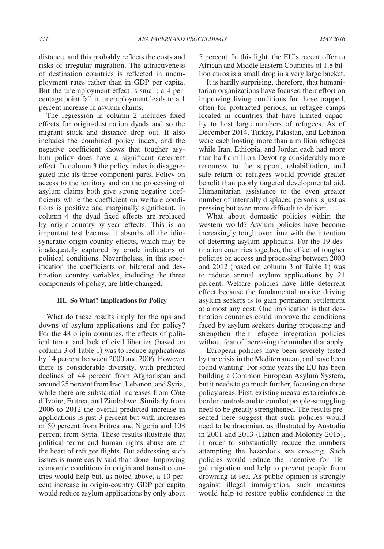distance, and this probably reflects the costs and risks of irregular migration. The attractiveness of destination countries is reflected in unemployment rates rather than in GDP per capita. But the unemployment effect is small: a 4 percentage point fall in unemployment leads to a 1 percent increase in asylum claims.

The regression in column 2 includes fixed effects for origin-destination dyads and so the migrant stock and distance drop out. It also includes the combined policy index, and the negative coefficient shows that tougher asylum policy does have a significant deterrent effect. In column 3 the policy index is disaggregated into its three component parts. Policy on access to the territory and on the processing of asylum claims both give strong negative coefficients while the coefficient on welfare conditions is positive and marginally significant. In column 4 the dyad fixed effects are replaced by origin-country-by-year effects. This is an important test because it absorbs all the idiosyncratic origin-country effects, which may be inadequately captured by crude indicators of political conditions. Nevertheless, in this specification the coefficients on bilateral and destination country variables, including the three components of policy, are little changed.

#### **III. So What? Implications for Policy**

What do these results imply for the ups and downs of asylum applications and for policy? For the 48 origin countries, the effects of political terror and lack of civil liberties (based on column 3 of Table 1) was to reduce applications by 14 percent between 2000 and 2006. However there is considerable diversity, with predicted declines of 44 percent from Afghanistan and around 25 percent from Iraq, Lebanon, and Syria, while there are substantial increases from Côte d'Ivoire, Eritrea, and Zimbabwe. Similarly from 2006 to 2012 the overall predicted increase in applications is just 3 percent but with increases of 50 percent from Eritrea and Nigeria and 108 percent from Syria. These results illustrate that political terror and human rights abuse are at the heart of refugee flights. But addressing such issues is more easily said than done. Improving economic conditions in origin and transit countries would help but, as noted above, a 10 percent increase in origin-country GDP per capita would reduce asylum applications by only about

5 percent. In this light, the EU's recent offer to African and Middle Eastern Countries of 1.8 billion euros is a small drop in a very large bucket.

It is hardly surprising, therefore, that humanitarian organizations have focused their effort on improving living conditions for those trapped, often for protracted periods, in refugee camps located in countries that have limited capacity to host large numbers of refugees. As of December 2014, Turkey, Pakistan, and Lebanon were each hosting more than a million refugees while Iran, Ethiopia, and Jordan each had more than half a million. Devoting considerably more resources to the support, rehabilitation, and safe return of refugees would provide greater benefit than poorly targeted developmental aid. Humanitarian assistance to the even greater number of internally displaced persons is just as pressing but even more difficult to deliver.

What about domestic policies within the western world? Asylum policies have become increasingly tough over time with the intention of deterring asylum applicants. For the 19 destination countries together, the effect of tougher policies on access and processing between 2000 and 2012 (based on column 3 of Table 1) was to reduce annual asylum applications by 21 percent. Welfare policies have little deterrent effect because the fundamental motive driving asylum seekers is to gain permanent settlement at almost any cost. One implication is that destination countries could improve the conditions faced by asylum seekers during processing and strengthen their refugee integration policies without fear of increasing the number that apply.

European policies have been severely tested by the crisis in the Mediterranean, and have been found wanting. For some years the EU has been building a Common European Asylum System, but it needs to go much further, focusing on three policy areas. First, existing measures to reinforce border controls and to combat people-smuggling need to be greatly strengthened. The results presented here suggest that such policies would need to be draconian, as illustrated by Australia in 2001 and 2013 (Hatton and Moloney 2015), in order to substantially reduce the numbers attempting the hazardous sea crossing. Such policies would reduce the incentive for illegal migration and help to prevent people from drowning at sea. As public opinion is strongly against illegal immigration, such measures would help to restore public confidence in the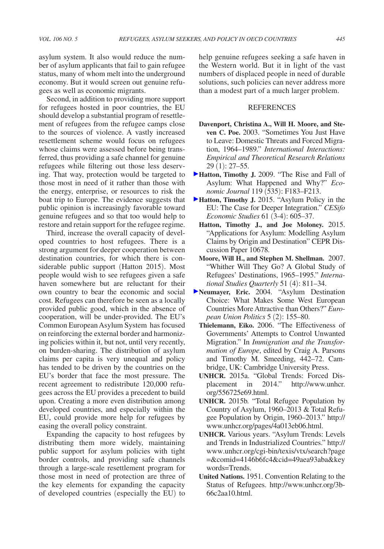Second, in addition to providing more support for refugees hosted in poor countries, the EU should develop a substantial program of resettlement of refugees from the refugee camps close to the sources of violence. A vastly increased resettlement scheme would focus on refugees whose claims were assessed before being transferred, thus providing a safe channel for genuine refugees while filtering out those less deserving. That way, protection would be targeted to those most in need of it rather than those with the energy, enterprise, or resources to risk the boat trip to Europe. The evidence suggests that public opinion is increasingly favorable toward genuine refugees and so that too would help to restore and retain support for the refugee regime.

Third, increase the overall capacity of developed countries to host refugees. There is a strong argument for deeper cooperation between destination countries, for which there is considerable public support (Hatton 2015). Most people would wish to see refugees given a safe haven somewhere but are reluctant for their own country to bear the economic and social cost. Refugees can therefore be seen as a locally provided public good, which in the absence of cooperation, will be under-provided. The EU's Common European Asylum System has focused on reinforcing the external border and harmonizing policies within it, but not, until very recently, on burden-sharing. The distribution of asylum claims per capita is very unequal and policy has tended to be driven by the countries on the EU's border that face the most pressure. The recent agreement to redistribute 120,000 refugees across the EU provides a precedent to build upon. Creating a more even distribution among developed countries, and especially within the EU, could provide more help for refugees by easing the overall policy constraint.

Expanding the capacity to host refugees by distributing them more widely, maintaining public support for asylum policies with tight border controls, and providing safe channels through a large-scale resettlement program for those most in need of protection are three of the key elements for expanding the capacity of developed countries (especially the EU) to

help genuine refugees seeking a safe haven in the Western world. But it in light of the vast numbers of displaced people in need of durable solutions, such policies can never address more than a modest part of a much larger problem.

### **REFERENCES**

- **Davenport, Christina A., Will H. Moore, and Steven C. Poe.** 2003. "Sometimes You Just Have to Leave: Domestic Threats and Forced Migration, 1964–1989." *International Interactions: Empirical and Theoretical Research Relations* 29 (1): 27–55.
- **Hatton, Timothy J.** 2009. "The Rise and Fall of Asylum: What Happened and Why?" *Economic Journal* 119 (535): F183–F213.
- **Hatton, Timothy J.** 2015. "Asylum Policy in the EU: The Case for Deeper Integration." *CESifo Economic Studies* 61 (3-4): 605–37.
	- **Hatton, Timothy J., and Joe Moloney.** 2015. "Applications for Asylum: Modelling Asylum Claims by Origin and Destination" CEPR Discussion Paper 10678.
	- **Moore, Will H., and Stephen M. Shellman.** 2007. "Whither Will They Go? A Global Study of Refugees' Destinations, 1965–1995." *International Studies Quarterly* 51 (4): 811–34.
- **Neumayer, Eric.** 2004. "Asylum Destination Choice: What Makes Some West European Countries More Attractive than Others?" *European Union Politics* 5 (2): 155–80.
	- **Thielemann, Eiko.** 2006. "The Effectiveness of Governments' Attempts to Control Unwanted Migration." In *Immigration and the Transformation of Europe*, edited by Craig A. Parsons and Timothy M. Smeeding, 442–72. Cambridge, UK: Cambridge University Press.
	- **UNHCR.** 2015a. "Global Trends: Forced Dis[placement in 2014." http://www.unhcr.](http://www.unhcr.org/556725e69.html) org/556725e69.html.
	- **UNHCR.** 2015b. ["Total Refugee Population by](http://www.unhcr.org/statistics/Ref_1960_2013.zip) [Country of Asylum, 1960–2013 & Total Refu](http://www.unhcr.org/statistics/Ref_1960_2013.zip)[gee Population by Origin, 1960–2013.](http://www.unhcr.org/statistics/Ref_1960_2013.zip)" http:// www.unhcr.org/pages/4a013eb06.html.
	- **UNHCR.** Various years. "Asylum Trends: Levels [and Trends in Industrialized Countries." http://](http://www.unhcr.org/cgi-bin/texis/vtx/search?page=&comid=4146b6fc4&cid=49aea93aba&keywords=Trends) www.unhcr.org/cgi-bin/texis/vtx/search?page =&comid=4146b6fc4&cid=49aea93aba&key words=Trends.
	- **United Nations.** 1951. Convention Relating to the [Status of Refugees. http://www.unhcr.org/3b-](http://www.unhcr.org/3b66c2aa10.html)66c2aa10.html.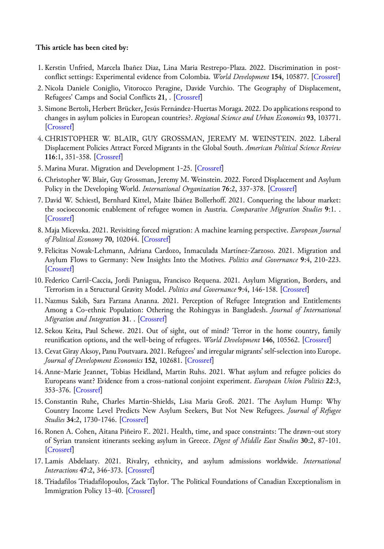## **This article has been cited by:**

- 1. Kerstin Unfried, Marcela Ibañez Diaz, Lina Maria Restrepo-Plaza. 2022. Discrimination in postconflict settings: Experimental evidence from Colombia. *World Development* **154**, 105877. [[Crossref\]](https://doi.org/10.1016/j.worlddev.2022.105877)
- 2. Nicola Daniele Coniglio, Vitorocco Peragine, Davide Vurchio. The Geography of Displacement, Refugees' Camps and Social Conflicts **21**, . [[Crossref\]](https://doi.org/10.1596/1813-9450-9983)
- 3. Simone Bertoli, Herbert Brücker, Jesús Fernández-Huertas Moraga. 2022. Do applications respond to changes in asylum policies in European countries?. *Regional Science and Urban Economics* **93**, 103771. [\[Crossref](https://doi.org/10.1016/j.regsciurbeco.2022.103771)]
- 4. CHRISTOPHER W. BLAIR, GUY GROSSMAN, JEREMY M. WEINSTEIN. 2022. Liberal Displacement Policies Attract Forced Migrants in the Global South. *American Political Science Review* **116**:1, 351-358. [\[Crossref](https://doi.org/10.1017/S0003055421000848)]
- 5. Marina Murat. Migration and Development 1-25. [[Crossref\]](https://doi.org/10.1007/978-3-319-57365-6_235-1)
- 6. Christopher W. Blair, Guy Grossman, Jeremy M. Weinstein. 2022. Forced Displacement and Asylum Policy in the Developing World. *International Organization* **76**:2, 337-378. [[Crossref\]](https://doi.org/10.1017/S0020818321000369)
- 7.David W. Schiestl, Bernhard Kittel, Maite Ibáñez Bollerhoff. 2021. Conquering the labour market: the socioeconomic enablement of refugee women in Austria. *Comparative Migration Studies* **9**:1. . [\[Crossref](https://doi.org/10.1186/s40878-021-00267-9)]
- 8. Maja Micevska. 2021. Revisiting forced migration: A machine learning perspective. *European Journal of Political Economy* **70**, 102044. [[Crossref\]](https://doi.org/10.1016/j.ejpoleco.2021.102044)
- 9. Felicitas Nowak-Lehmann, Adriana Cardozo, Inmaculada Martínez-Zarzoso. 2021. Migration and Asylum Flows to Germany: New Insights Into the Motives. *Politics and Governance* **9**:4, 210-223. [\[Crossref](https://doi.org/10.17645/pag.v9i4.4377)]
- 10. Federico Carril-Caccia, Jordi Paniagua, Francisco Requena. 2021. Asylum Migration, Borders, and Terrorism in a Structural Gravity Model. *Politics and Governance* **9**:4, 146-158. [[Crossref\]](https://doi.org/10.17645/pag.v9i4.4438)
- 11. Nazmus Sakib, Sara Farzana Ananna. 2021. Perception of Refugee Integration and Entitlements Among a Co-ethnic Population: Othering the Rohingyas in Bangladesh. *Journal of International Migration and Integration* **31**. . [[Crossref\]](https://doi.org/10.1007/s12134-021-00910-5)
- 12. Sekou Keita, Paul Schewe. 2021. Out of sight, out of mind? Terror in the home country, family reunification options, and the well-being of refugees. *World Development* **146**, 105562. [[Crossref\]](https://doi.org/10.1016/j.worlddev.2021.105562)
- 13. Cevat Giray Aksoy, Panu Poutvaara. 2021. Refugees' and irregular migrants' self-selection into Europe. *Journal of Development Economics* **152**, 102681. [[Crossref\]](https://doi.org/10.1016/j.jdeveco.2021.102681)
- 14. Anne-Marie Jeannet, Tobias Heidland, Martin Ruhs. 2021. What asylum and refugee policies do Europeans want? Evidence from a cross-national conjoint experiment. *European Union Politics* **22**:3, 353-376. [\[Crossref\]](https://doi.org/10.1177/14651165211006838)
- 15. Constantin Ruhe, Charles Martin-Shields, Lisa Maria Groß. 2021. The Asylum Hump: Why Country Income Level Predicts New Asylum Seekers, But Not New Refugees. *Journal of Refugee Studies* **34**:2, 1730-1746. [[Crossref\]](https://doi.org/10.1093/jrs/feaa007)
- 16. Ronen A. Cohen, Aitana Piñeiro F.. 2021. Health, time, and space constraints: The drawn‐out story of Syrian transient itinerants seeking asylum in Greece. *Digest of Middle East Studies* **30**:2, 87-101. [\[Crossref](https://doi.org/10.1111/dome.12230)]
- 17. Lamis Abdelaaty. 2021. Rivalry, ethnicity, and asylum admissions worldwide. *International Interactions* **47**:2, 346-373. [[Crossref\]](https://doi.org/10.1080/03050629.2020.1814768)
- 18. Triadafilos Triadafilopoulos, Zack Taylor. The Political Foundations of Canadian Exceptionalism in Immigration Policy 13-40. [\[Crossref](https://doi.org/10.1007/978-3-030-46754-8_2)]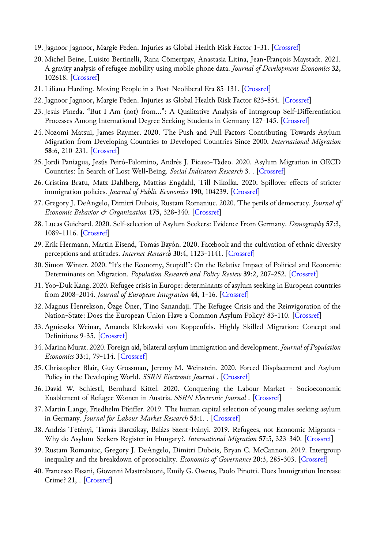- 19. Jagnoor Jagnoor, Margie Peden. Injuries as Global Health Risk Factor 1-31. [[Crossref\]](https://doi.org/10.1007/978-3-030-05325-3_41-1)
- 20. Michel Beine, Luisito Bertinelli, Rana Cömertpay, Anastasia Litina, Jean-François Maystadt. 2021. A gravity analysis of refugee mobility using mobile phone data. *Journal of Development Economics* **32**, 102618. [\[Crossref](https://doi.org/10.1016/j.jdeveco.2020.102618)]
- 21. Liliana Harding. Moving People in a Post-Neoliberal Era 85-131. [\[Crossref](https://doi.org/10.1007/978-3-030-56735-4_3)]
- 22. Jagnoor Jagnoor, Margie Peden. Injuries as Global Health Risk Factor 823-854. [[Crossref\]](https://doi.org/10.1007/978-3-030-45009-0_41)
- 23. Jesús Pineda. "But I Am (not) from…": A Qualitative Analysis of Intragroup Self-Differentiation Processes Among International Degree Seeking Students in Germany 127-145. [\[Crossref\]](https://doi.org/10.1007/978-3-658-33338-6_7)
- 24. Nozomi Matsui, James Raymer. 2020. The Push and Pull Factors Contributing Towards Asylum Migration from Developing Countries to Developed Countries Since 2000. *International Migration* **58**:6, 210-231. [[Crossref\]](https://doi.org/10.1111/imig.12708)
- 25. Jordi Paniagua, Jesús Peiró-Palomino, Andrés J. Picazo-Tadeo. 2020. Asylum Migration in OECD Countries: In Search of Lost Well-Being. *Social Indicators Research* **3**. . [[Crossref\]](https://doi.org/10.1007/s11205-020-02528-z)
- 26. Cristina Bratu, Matz Dahlberg, Mattias Engdahl, Till Nikolka. 2020. Spillover effects of stricter immigration policies. *Journal of Public Economics* **190**, 104239. [[Crossref](https://doi.org/10.1016/j.jpubeco.2020.104239)]
- 27. Gregory J. DeAngelo, Dimitri Dubois, Rustam Romaniuc. 2020. The perils of democracy. *Journal of Economic Behavior & Organization* **175**, 328-340. [\[Crossref](https://doi.org/10.1016/j.jebo.2018.06.020)]
- 28. Lucas Guichard. 2020. Self-selection of Asylum Seekers: Evidence From Germany. *Demography* **57**:3, 1089-1116. [[Crossref\]](https://doi.org/10.1007/s13524-020-00873-9)
- 29. Erik Hermann, Martin Eisend, Tomás Bayón. 2020. Facebook and the cultivation of ethnic diversity perceptions and attitudes. *Internet Research* **30**:4, 1123-1141. [[Crossref\]](https://doi.org/10.1108/INTR-10-2019-0423)
- 30. Simon Winter. 2020. "It's the Economy, Stupid!": On the Relative Impact of Political and Economic Determinants on Migration. *Population Research and Policy Review* **39**:2, 207-252. [\[Crossref](https://doi.org/10.1007/s11113-019-09529-y)]
- 31. Yoo-Duk Kang. 2020. Refugee crisis in Europe: determinants of asylum seeking in European countries from 2008–2014. *Journal of European Integration* **44**, 1-16. [[Crossref\]](https://doi.org/10.1080/07036337.2020.1718673)
- 32. Magnus Henrekson, Özge Öner, Tino Sanandaji. The Refugee Crisis and the Reinvigoration of the Nation-State: Does the European Union Have a Common Asylum Policy? 83-110. [[Crossref\]](https://doi.org/10.1007/978-3-030-35005-5_4)
- 33. Agnieszka Weinar, Amanda Klekowski von Koppenfels. Highly Skilled Migration: Concept and Definitions 9-35. [[Crossref\]](https://doi.org/10.1007/978-3-030-42204-2_2)
- 34. Marina Murat. 2020. Foreign aid, bilateral asylum immigration and development. *Journal of Population Economics* **33**:1, 79-114. [[Crossref\]](https://doi.org/10.1007/s00148-019-00751-8)
- 35. Christopher Blair, Guy Grossman, Jeremy M. Weinstein. 2020. Forced Displacement and Asylum Policy in the Developing World. *SSRN Electronic Journal* . [[Crossref\]](https://doi.org/10.2139/ssrn.3565557)
- 36.David W. Schiestl, Bernhard Kittel. 2020. Conquering the Labour Market Socioeconomic Enablement of Refugee Women in Austria. *SSRN Electronic Journal* . [\[Crossref](https://doi.org/10.2139/ssrn.3671500)]
- 37. Martin Lange, Friedhelm Pfeiffer. 2019. The human capital selection of young males seeking asylum in Germany. *Journal for Labour Market Research* **53**:1. . [[Crossref](https://doi.org/10.1186/s12651-019-0259-y)]
- 38. András Tétényi, Tamás Barczikay, Balázs Szent‐Iványi. 2019. Refugees, not Economic Migrants ‐ Why do Asylum‐Seekers Register in Hungary?. *International Migration* **57**:5, 323-340. [[Crossref\]](https://doi.org/10.1111/imig.12528)
- 39. Rustam Romaniuc, Gregory J. DeAngelo, Dimitri Dubois, Bryan C. McCannon. 2019. Intergroup inequality and the breakdown of prosociality. *Economics of Governance* **20**:3, 285-303. [\[Crossref](https://doi.org/10.1007/s10101-019-00226-2)]
- 40. Francesco Fasani, Giovanni Mastrobuoni, Emily G. Owens, Paolo Pinotti. Does Immigration Increase Crime? **21**, . [[Crossref\]](https://doi.org/10.1017/9781108626286)